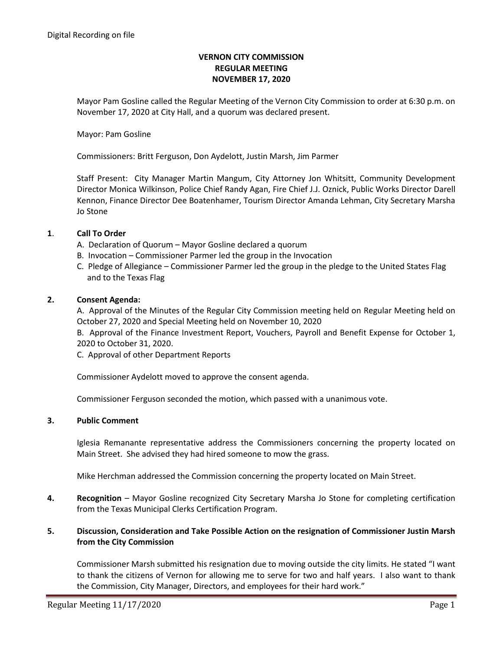# **VERNON CITY COMMISSION REGULAR MEETING NOVEMBER 17, 2020**

Mayor Pam Gosline called the Regular Meeting of the Vernon City Commission to order at 6:30 p.m. on November 17, 2020 at City Hall, and a quorum was declared present.

### Mayor: Pam Gosline

Commissioners: Britt Ferguson, Don Aydelott, Justin Marsh, Jim Parmer

Staff Present: City Manager Martin Mangum, City Attorney Jon Whitsitt, Community Development Director Monica Wilkinson, Police Chief Randy Agan, Fire Chief J.J. Oznick, Public Works Director Darell Kennon, Finance Director Dee Boatenhamer, Tourism Director Amanda Lehman, City Secretary Marsha Jo Stone

#### **1**. **Call To Order**

- A. Declaration of Quorum Mayor Gosline declared a quorum
- B. Invocation Commissioner Parmer led the group in the Invocation
- C. Pledge of Allegiance Commissioner Parmer led the group in the pledge to the United States Flag and to the Texas Flag

#### **2. Consent Agenda:**

A. Approval of the Minutes of the Regular City Commission meeting held on Regular Meeting held on October 27, 2020 and Special Meeting held on November 10, 2020

B. Approval of the Finance Investment Report, Vouchers, Payroll and Benefit Expense for October 1, 2020 to October 31, 2020.

C. Approval of other Department Reports

Commissioner Aydelott moved to approve the consent agenda.

Commissioner Ferguson seconded the motion, which passed with a unanimous vote.

# **3. Public Comment**

Iglesia Remanante representative address the Commissioners concerning the property located on Main Street. She advised they had hired someone to mow the grass.

Mike Herchman addressed the Commission concerning the property located on Main Street.

**4. Recognition** – Mayor Gosline recognized City Secretary Marsha Jo Stone for completing certification from the Texas Municipal Clerks Certification Program.

# **5. Discussion, Consideration and Take Possible Action on the resignation of Commissioner Justin Marsh from the City Commission**

Commissioner Marsh submitted his resignation due to moving outside the city limits. He stated "I want to thank the citizens of Vernon for allowing me to serve for two and half years. I also want to thank the Commission, City Manager, Directors, and employees for their hard work."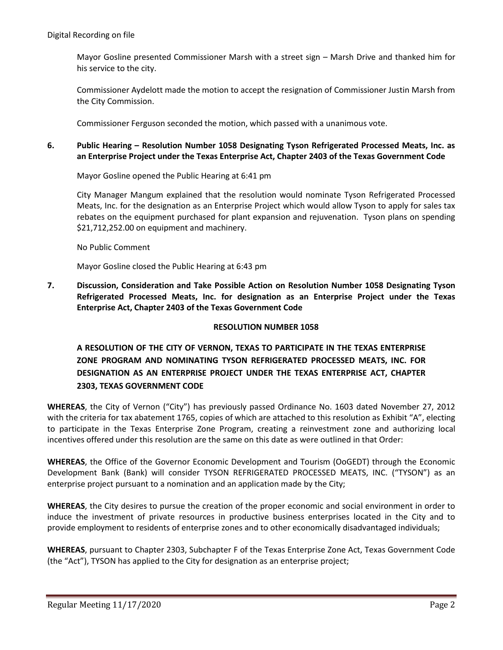Mayor Gosline presented Commissioner Marsh with a street sign – Marsh Drive and thanked him for his service to the city.

Commissioner Aydelott made the motion to accept the resignation of Commissioner Justin Marsh from the City Commission.

Commissioner Ferguson seconded the motion, which passed with a unanimous vote.

# **6. Public Hearing – Resolution Number 1058 Designating Tyson Refrigerated Processed Meats, Inc. as an Enterprise Project under the Texas Enterprise Act, Chapter 2403 of the Texas Government Code**

Mayor Gosline opened the Public Hearing at 6:41 pm

City Manager Mangum explained that the resolution would nominate Tyson Refrigerated Processed Meats, Inc. for the designation as an Enterprise Project which would allow Tyson to apply for sales tax rebates on the equipment purchased for plant expansion and rejuvenation. Tyson plans on spending \$21,712,252.00 on equipment and machinery.

No Public Comment

Mayor Gosline closed the Public Hearing at 6:43 pm

**7. Discussion, Consideration and Take Possible Action on Resolution Number 1058 Designating Tyson Refrigerated Processed Meats, Inc. for designation as an Enterprise Project under the Texas Enterprise Act, Chapter 2403 of the Texas Government Code**

# **RESOLUTION NUMBER 1058**

# **A RESOLUTION OF THE CITY OF VERNON, TEXAS TO PARTICIPATE IN THE TEXAS ENTERPRISE ZONE PROGRAM AND NOMINATING TYSON REFRIGERATED PROCESSED MEATS, INC. FOR DESIGNATION AS AN ENTERPRISE PROJECT UNDER THE TEXAS ENTERPRISE ACT, CHAPTER 2303, TEXAS GOVERNMENT CODE**

**WHEREAS**, the City of Vernon ("City") has previously passed Ordinance No. 1603 dated November 27, 2012 with the criteria for tax abatement 1765, copies of which are attached to this resolution as Exhibit "A", electing to participate in the Texas Enterprise Zone Program, creating a reinvestment zone and authorizing local incentives offered under this resolution are the same on this date as were outlined in that Order:

**WHEREAS**, the Office of the Governor Economic Development and Tourism (OoGEDT) through the Economic Development Bank (Bank) will consider TYSON REFRIGERATED PROCESSED MEATS, INC. ("TYSON") as an enterprise project pursuant to a nomination and an application made by the City;

**WHEREAS**, the City desires to pursue the creation of the proper economic and social environment in order to induce the investment of private resources in productive business enterprises located in the City and to provide employment to residents of enterprise zones and to other economically disadvantaged individuals;

**WHEREAS**, pursuant to Chapter 2303, Subchapter F of the Texas Enterprise Zone Act, Texas Government Code (the "Act"), TYSON has applied to the City for designation as an enterprise project;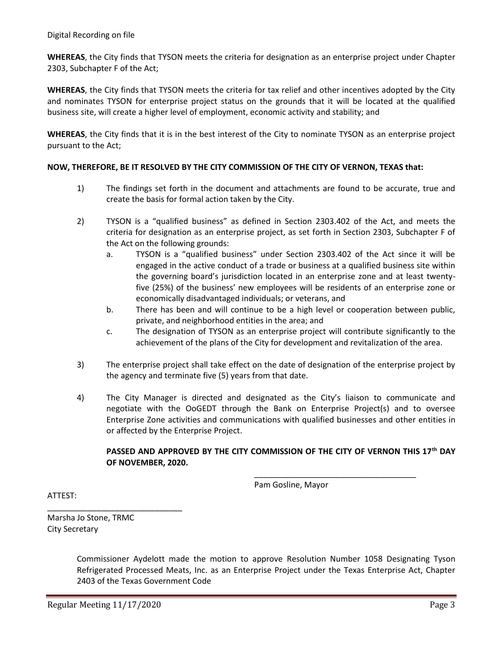**WHEREAS**, the City finds that TYSON meets the criteria for designation as an enterprise project under Chapter 2303, Subchapter F of the Act;

**WHEREAS**, the City finds that TYSON meets the criteria for tax relief and other incentives adopted by the City and nominates TYSON for enterprise project status on the grounds that it will be located at the qualified business site, will create a higher level of employment, economic activity and stability; and

**WHEREAS**, the City finds that it is in the best interest of the City to nominate TYSON as an enterprise project pursuant to the Act;

# **NOW, THEREFORE, BE IT RESOLVED BY THE CITY COMMISSION OF THE CITY OF VERNON, TEXAS that:**

- 1) The findings set forth in the document and attachments are found to be accurate, true and create the basis for formal action taken by the City.
- 2) TYSON is a "qualified business" as defined in Section 2303.402 of the Act, and meets the criteria for designation as an enterprise project, as set forth in Section 2303, Subchapter F of the Act on the following grounds:
	- a. TYSON is a "qualified business" under Section 2303.402 of the Act since it will be engaged in the active conduct of a trade or business at a qualified business site within the governing board's jurisdiction located in an enterprise zone and at least twentyfive (25%) of the business' new employees will be residents of an enterprise zone or economically disadvantaged individuals; or veterans, and
	- b. There has been and will continue to be a high level or cooperation between public, private, and neighborhood entities in the area; and
	- c. The designation of TYSON as an enterprise project will contribute significantly to the achievement of the plans of the City for development and revitalization of the area.
- 3) The enterprise project shall take effect on the date of designation of the enterprise project by the agency and terminate five (5) years from that date.
- 4) The City Manager is directed and designated as the City's liaison to communicate and negotiate with the OoGEDT through the Bank on Enterprise Project(s) and to oversee Enterprise Zone activities and communications with qualified businesses and other entities in or affected by the Enterprise Project.

# **PASSED AND APPROVED BY THE CITY COMMISSION OF THE CITY OF VERNON THIS 17th DAY OF NOVEMBER, 2020.**

Pam Gosline, Mayor

\_\_\_\_\_\_\_\_\_\_\_\_\_\_\_\_\_\_\_\_\_\_\_\_\_\_\_\_\_\_\_\_\_\_\_\_

ATTEST:

Marsha Jo Stone, TRMC City Secretary

\_\_\_\_\_\_\_\_\_\_\_\_\_\_\_\_\_\_\_\_\_\_\_\_\_\_\_\_\_\_

Commissioner Aydelott made the motion to approve Resolution Number 1058 Designating Tyson Refrigerated Processed Meats, Inc. as an Enterprise Project under the Texas Enterprise Act, Chapter 2403 of the Texas Government Code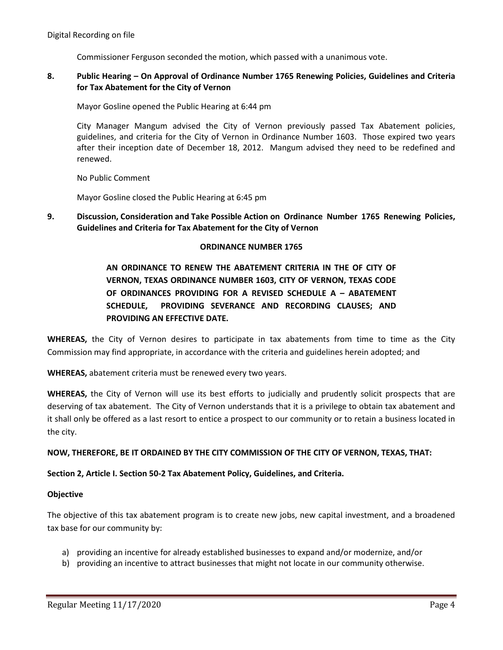Commissioner Ferguson seconded the motion, which passed with a unanimous vote.

# **8. Public Hearing – On Approval of Ordinance Number 1765 Renewing Policies, Guidelines and Criteria for Tax Abatement for the City of Vernon**

Mayor Gosline opened the Public Hearing at 6:44 pm

City Manager Mangum advised the City of Vernon previously passed Tax Abatement policies, guidelines, and criteria for the City of Vernon in Ordinance Number 1603. Those expired two years after their inception date of December 18, 2012. Mangum advised they need to be redefined and renewed.

No Public Comment

Mayor Gosline closed the Public Hearing at 6:45 pm

**9. Discussion, Consideration and Take Possible Action on Ordinance Number 1765 Renewing Policies, Guidelines and Criteria for Tax Abatement for the City of Vernon**

#### **ORDINANCE NUMBER 1765**

# **AN ORDINANCE TO RENEW THE ABATEMENT CRITERIA IN THE OF CITY OF VERNON, TEXAS ORDINANCE NUMBER 1603, CITY OF VERNON, TEXAS CODE OF ORDINANCES PROVIDING FOR A REVISED SCHEDULE A – ABATEMENT SCHEDULE, PROVIDING SEVERANCE AND RECORDING CLAUSES; AND PROVIDING AN EFFECTIVE DATE.**

**WHEREAS,** the City of Vernon desires to participate in tax abatements from time to time as the City Commission may find appropriate, in accordance with the criteria and guidelines herein adopted; and

**WHEREAS,** abatement criteria must be renewed every two years.

**WHEREAS,** the City of Vernon will use its best efforts to judicially and prudently solicit prospects that are deserving of tax abatement. The City of Vernon understands that it is a privilege to obtain tax abatement and it shall only be offered as a last resort to entice a prospect to our community or to retain a business located in the city.

# **NOW, THEREFORE, BE IT ORDAINED BY THE CITY COMMISSION OF THE CITY OF VERNON, TEXAS, THAT:**

# **Section 2, Article I. Section 50-2 Tax Abatement Policy, Guidelines, and Criteria.**

#### **Objective**

The objective of this tax abatement program is to create new jobs, new capital investment, and a broadened tax base for our community by:

- a) providing an incentive for already established businesses to expand and/or modernize, and/or
- b) providing an incentive to attract businesses that might not locate in our community otherwise.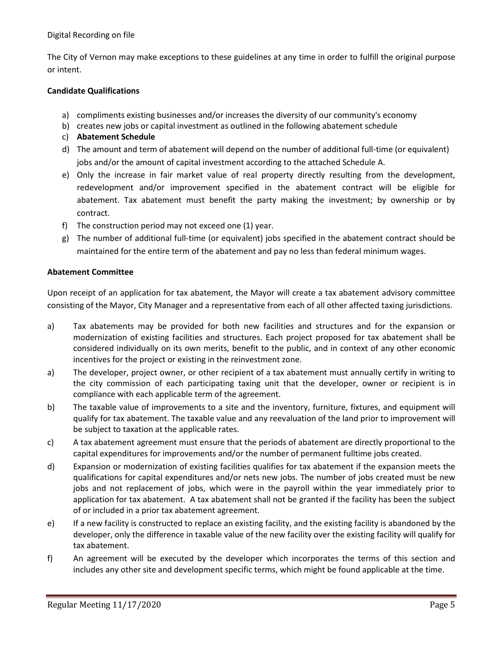The City of Vernon may make exceptions to these guidelines at any time in order to fulfill the original purpose or intent.

# **Candidate Qualifications**

- a) compliments existing businesses and/or increases the diversity of our community's economy
- b) creates new jobs or capital investment as outlined in the following abatement schedule
- c) **Abatement Schedule**
- d) The amount and term of abatement will depend on the number of additional full-time (or equivalent) jobs and/or the amount of capital investment according to the attached Schedule A.
- e) Only the increase in fair market value of real property directly resulting from the development, redevelopment and/or improvement specified in the abatement contract will be eligible for abatement. Tax abatement must benefit the party making the investment; by ownership or by contract.
- f) The construction period may not exceed one (1) year.
- g) The number of additional full-time (or equivalent) jobs specified in the abatement contract should be maintained for the entire term of the abatement and pay no less than federal minimum wages.

# **Abatement Committee**

Upon receipt of an application for tax abatement, the Mayor will create a tax abatement advisory committee consisting of the Mayor, City Manager and a representative from each of all other affected taxing jurisdictions.

- a) Tax abatements may be provided for both new facilities and structures and for the expansion or modernization of existing facilities and structures. Each project proposed for tax abatement shall be considered individually on its own merits, benefit to the public, and in context of any other economic incentives for the project or existing in the reinvestment zone.
- a) The developer, project owner, or other recipient of a tax abatement must annually certify in writing to the city commission of each participating taxing unit that the developer, owner or recipient is in compliance with each applicable term of the agreement.
- b) The taxable value of improvements to a site and the inventory, furniture, fixtures, and equipment will qualify for tax abatement. The taxable value and any reevaluation of the land prior to improvement will be subject to taxation at the applicable rates.
- c) A tax abatement agreement must ensure that the periods of abatement are directly proportional to the capital expenditures for improvements and/or the number of permanent fulltime jobs created.
- d) Expansion or modernization of existing facilities qualifies for tax abatement if the expansion meets the qualifications for capital expenditures and/or nets new jobs. The number of jobs created must be new jobs and not replacement of jobs, which were in the payroll within the year immediately prior to application for tax abatement. A tax abatement shall not be granted if the facility has been the subject of or included in a prior tax abatement agreement.
- e) If a new facility is constructed to replace an existing facility, and the existing facility is abandoned by the developer, only the difference in taxable value of the new facility over the existing facility will qualify for tax abatement.
- f) An agreement will be executed by the developer which incorporates the terms of this section and includes any other site and development specific terms, which might be found applicable at the time.